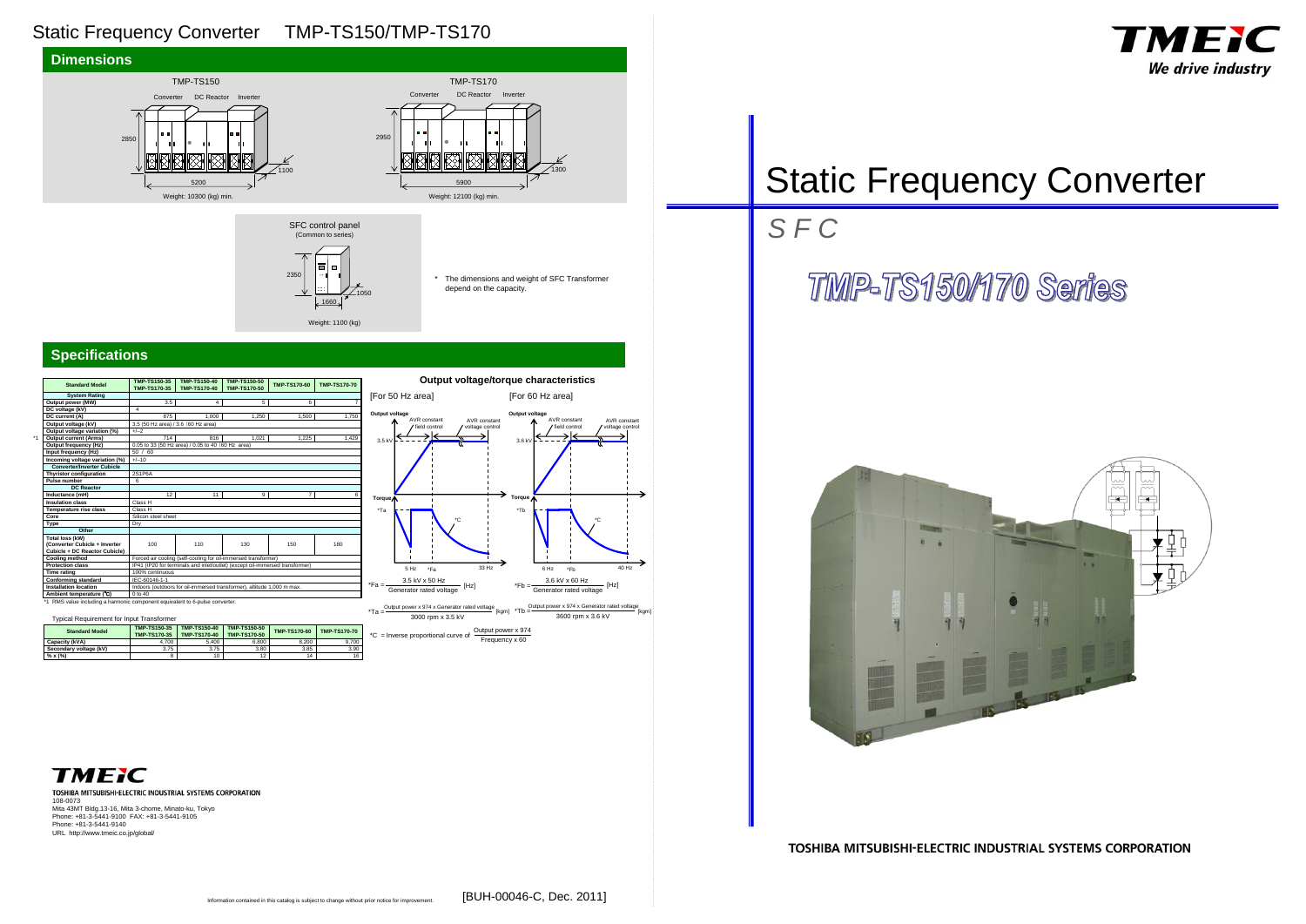## Static Frequency Converter TMP-TS150/TMP-TS170

#### **Specifications**

## Static Frequency Converter

3000 rpm x 3.5 kV \*Ta = Output power x 974 x Generator rated voltage<br>\*Ta =  $\frac{1}{k}$  [kgm] \*Tb =  $\frac{1}{k}$  =  $\frac{1}{k}$  =  $\frac{1}{k}$  =  $\frac{1}{k}$  =  $\frac{1}{k}$  =  $\frac{1}{k}$  =  $\frac{1}{k}$  =  $\frac{1}{k}$ 3600 rpm x 3.6 kV

TOSHIBA MITSUBISHI-ELECTRIC INDUSTRIAL SYSTEMS CORPORATION 108-0073 Mita 43MT Bldg.13-16, Mita 3-chome, Minato-ku, Tokyo Phone: +81-3-5441-9100 FAX: +81-3-5441-9105 Phone: +81-3-5441-9140 URL http://www.tmeic.co.jp/global/





#### TOSHIBA MITSUBISHI-ELECTRIC INDUSTRIAL SYSTEMS CORPORATION

| <b>Standard Model</b>                                                        | <b>TMP-TS150-35</b><br>TMP-TS170-35                                          | <b>TMP-TS150-40</b><br><b>TMP-TS170-40</b>                             | <b>TMP-TS150-50</b><br><b>TMP-TS170-50</b> | <b>TMP-TS170-60</b> | <b>TMP-TS170-70</b> |  |  |  |
|------------------------------------------------------------------------------|------------------------------------------------------------------------------|------------------------------------------------------------------------|--------------------------------------------|---------------------|---------------------|--|--|--|
| <b>System Rating</b>                                                         |                                                                              |                                                                        |                                            |                     |                     |  |  |  |
| Output power (MW)                                                            | 3.5                                                                          | 4                                                                      | 5                                          | 6                   | 7                   |  |  |  |
| DC voltage (kV)                                                              | $\overline{4}$                                                               |                                                                        |                                            |                     |                     |  |  |  |
| DC current (A)                                                               | 875                                                                          | 1.000                                                                  | 1.250                                      | 1.500               | 1,750               |  |  |  |
| Output voltage (kV)                                                          | 3.5 (50 Hz area) / 3.6 (60 Hz area)                                          |                                                                        |                                            |                     |                     |  |  |  |
| Output voltage variation (%)                                                 | $+/-2$                                                                       |                                                                        |                                            |                     |                     |  |  |  |
| <b>Output current (Arms)</b>                                                 | 714                                                                          | 816                                                                    | 1.021                                      | 1.225               | 1,429               |  |  |  |
| Output frequency (Hz)                                                        | 0.05 to 33 (50 Hz area) / 0.05 to 40 (60 Hz area)                            |                                                                        |                                            |                     |                     |  |  |  |
| Input frequency (Hz)                                                         | /60<br>50                                                                    |                                                                        |                                            |                     |                     |  |  |  |
| Incoming voltage variation (%)                                               | $+/-10$                                                                      |                                                                        |                                            |                     |                     |  |  |  |
| <b>Converter/Inverter Cubicle</b>                                            |                                                                              |                                                                        |                                            |                     |                     |  |  |  |
| <b>Thyristor configuration</b>                                               | <b>2S1P6A</b>                                                                |                                                                        |                                            |                     |                     |  |  |  |
| Pulse number                                                                 | 6                                                                            |                                                                        |                                            |                     |                     |  |  |  |
| <b>DC Reactor</b>                                                            |                                                                              |                                                                        |                                            |                     |                     |  |  |  |
| Inductance (mH)                                                              | 12                                                                           | 11                                                                     | 9                                          | 7                   | 6                   |  |  |  |
| <b>Insulation class</b>                                                      | Class H                                                                      |                                                                        |                                            |                     |                     |  |  |  |
| <b>Temperature rise class</b>                                                | Class <sub>H</sub>                                                           |                                                                        |                                            |                     |                     |  |  |  |
| Core                                                                         | Silicon steel sheet                                                          |                                                                        |                                            |                     |                     |  |  |  |
| Type                                                                         | Dry                                                                          |                                                                        |                                            |                     |                     |  |  |  |
| Other                                                                        |                                                                              |                                                                        |                                            |                     |                     |  |  |  |
| <b>Total loss (kW)</b>                                                       |                                                                              |                                                                        |                                            |                     |                     |  |  |  |
| (Converter Cubicle + Inverter                                                | 100                                                                          | 110                                                                    | 130                                        | 150                 | 180                 |  |  |  |
| Cubicle + DC Reactor Cubicle)                                                |                                                                              |                                                                        |                                            |                     |                     |  |  |  |
| <b>Cooling method</b>                                                        | Forced air cooling (self-cooling for oil-immersed transformer)               |                                                                        |                                            |                     |                     |  |  |  |
| <b>Protection class</b>                                                      | IP41 (IP20 for terminals and inlet/outlet) (except oil-immersed transformer) |                                                                        |                                            |                     |                     |  |  |  |
| <b>Time rating</b>                                                           | 100% continuous                                                              |                                                                        |                                            |                     |                     |  |  |  |
| <b>Conforming standard</b>                                                   | IEC-60146-1-1                                                                |                                                                        |                                            |                     |                     |  |  |  |
| <b>Installation location</b>                                                 |                                                                              | Indoors (outdoors for oil-immersed transformer), altitude 1,000 m max. |                                            |                     |                     |  |  |  |
| Ambient temperature (°C)                                                     | $0 \text{ to } 40$                                                           |                                                                        |                                            |                     |                     |  |  |  |
| *1 RMS value including a harmonic component equivalent to 6-pulse converter. |                                                                              |                                                                        |                                            |                     |                     |  |  |  |

\* The dimensions and weight of SFC Transformer depend on the capacity.

**Output voltage/torque characteristics**

## *S F C*

## **TMP-TS150/170 Series**



**TMEIC** 





2350

1050

1660 Weight: 1100 (kg)



\*1

| Typical Requirement for Input Transformer |                                     |                                            |                                     |                     |                     |  |  |  |
|-------------------------------------------|-------------------------------------|--------------------------------------------|-------------------------------------|---------------------|---------------------|--|--|--|
| <b>Standard Model</b>                     | <b>TMP-TS150-35</b><br>TMP-TS170-35 | <b>TMP-TS150-40</b><br><b>TMP-TS170-40</b> | TMP-TS150-50<br><b>TMP-TS170-50</b> | <b>TMP-TS170-60</b> | <b>TMP-TS170-70</b> |  |  |  |
| Capacity (kVA)                            | 4.700                               | 5.400                                      | 6,800                               | 8.200               | 9.700               |  |  |  |
| Secondary voltage (kV)                    | 3.75                                | 3.75                                       | 3.80                                | 3.85                | 3.90                |  |  |  |
| % x (%)                                   | 8                                   | 10                                         | 12                                  | 14                  | 16                  |  |  |  |